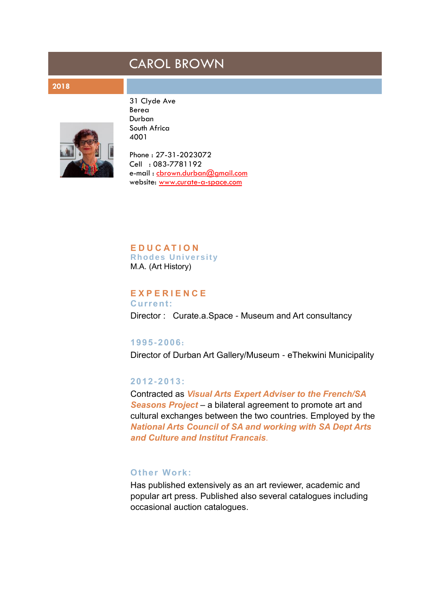# CAROL BROWN

#### **2018**



31 Clyde Ave Berea Durban South Africa 4001

Phone : 27-31-2023072 Cell : 083-7781192 e-mail : [cbrown.durban@gmail.com](mailto:cbrown.durban@gmail.com) website: [www.curate](http://www.curate-a-space.com/)-a-space.com

**E D U C A T I O N Rhodes Uni ver sit y** M.A. (Art History)

## **E X P E R I E N C E**

**Current:** Director : Curate.a.Space - Museum and Art consultancy

#### **1995-2006:**

Director of Durban Art Gallery/Museum - eThekwini Municipality

## **2012-2013:**

Contracted as *Visual Arts Expert Adviser to the French/SA Seasons Project* – a bilateral agreement to promote art and cultural exchanges between the two countries. Employed by the *National Arts Council of SA and working with SA Dept Arts and Culture and Institut Francais.*

#### **Other Work:**

Has published extensively as an art reviewer, academic and popular art press. Published also several catalogues including occasional auction catalogues.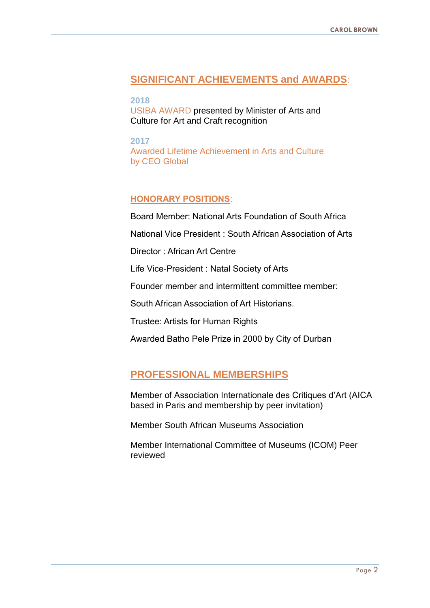## **SIGNIFICANT ACHIEVEMENTS and AWARDS**:

**2018**  USIBA AWARD presented by Minister of Arts and Culture for Art and Craft recognition

**2017** Awarded Lifetime Achievement in Arts and Culture by CEO Global

## **HONORARY POSITIONS**:

Board Member: National Arts Foundation of South Africa

National Vice President : South African Association of Arts

Director : African Art Centre

Life Vice-President : Natal Society of Arts

Founder member and intermittent committee member:

South African Association of Art Historians.

Trustee: Artists for Human Rights

Awarded Batho Pele Prize in 2000 by City of Durban

## **PROFESSIONAL MEMBERSHIPS**

Member of Association Internationale des Critiques d'Art (AICA based in Paris and membership by peer invitation)

Member South African Museums Association

Member International Committee of Museums (ICOM) Peer reviewed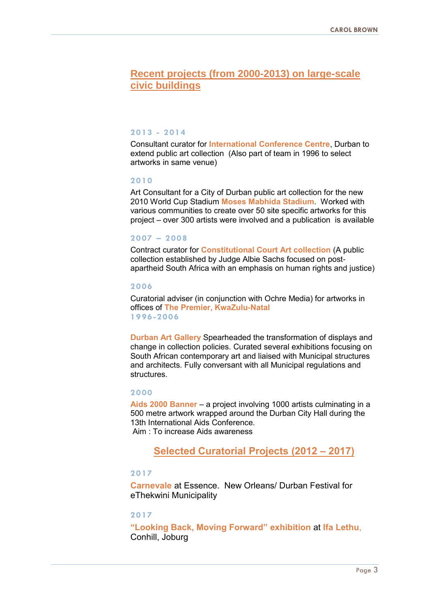## **Recent projects (from 2000-2013) on large-scale civic buildings**

#### **2013 - 2014**

Consultant curator for **International Conference Centre**, Durban to extend public art collection (Also part of team in 1996 to select artworks in same venue)

#### **2010**

Art Consultant for a City of Durban public art collection for the new 2010 World Cup Stadium **Moses Mabhida Stadium**. Worked with various communities to create over 50 site specific artworks for this project – over 300 artists were involved and a publication is available

#### **2007 – 2008**

Contract curator for **Constitutional Court Art collection** (A public collection established by Judge Albie Sachs focused on postapartheid South Africa with an emphasis on human rights and justice)

#### **2006**

Curatorial adviser (in conjunction with Ochre Media) for artworks in offices of **The Premier, KwaZulu-Natal 1996-2006**

**Durban Art Gallery** Spearheaded the transformation of displays and change in collection policies. Curated several exhibitions focusing on South African contemporary art and liaised with Municipal structures and architects. Fully conversant with all Municipal regulations and structures.

#### **2000**

**Aids 2000 Banner** – a project involving 1000 artists culminating in a 500 metre artwork wrapped around the Durban City Hall during the 13th International Aids Conference. Aim : To increase Aids awareness

## **Selected Curatorial Projects (2012 – 2017)**

#### **2017**

**Carnevale** at Essence. New Orleans/ Durban Festival for eThekwini Municipality

#### **2017**

**"Looking Back, Moving Forward" exhibition** at **Ifa Lethu**, Conhill, Joburg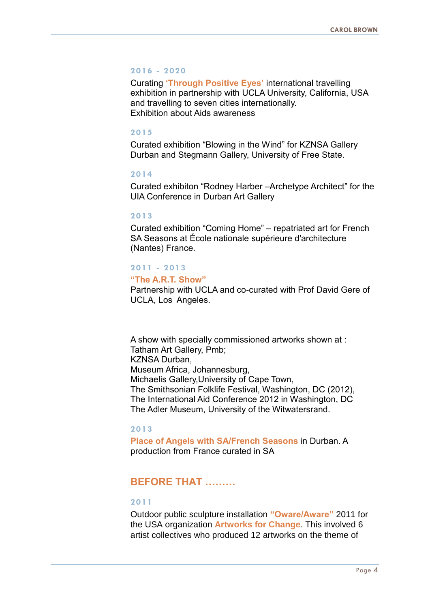#### **2016 - 2020**

Curating **'Through Positive Eyes'** international travelling exhibition in partnership with UCLA University, California, USA and travelling to seven cities internationally. Exhibition about Aids awareness

#### **2015**

Curated exhibition "Blowing in the Wind" for KZNSA Gallery Durban and Stegmann Gallery, University of Free State.

#### **2014**

Curated exhibiton "Rodney Harber –Archetype Architect" for the UIA Conference in Durban Art Gallery

#### **2013**

Curated exhibition "Coming Home" – repatriated art for French SA Seasons at École nationale supérieure d'architecture (Nantes) France.

#### **2011 - 2013**

#### **"The A.R.T. Show"**

Partnership with UCLA and co-curated with Prof David Gere of UCLA, Los Angeles.

A show with specially commissioned artworks shown at : Tatham Art Gallery, Pmb; KZNSA Durban, Museum Africa, Johannesburg, Michaelis Gallery,University of Cape Town, The Smithsonian Folklife Festival, Washington, DC (2012), The International Aid Conference 2012 in Washington, DC The Adler Museum, University of the Witwatersrand.

### **2013**

**Place of Angels with SA/French Seasons** in Durban. A production from France curated in SA

## **BEFORE THAT ………**

#### **2011**

Outdoor public sculpture installation **"Oware/Aware"** 2011 for the USA organization **Artworks for Change**. This involved 6 artist collectives who produced 12 artworks on the theme of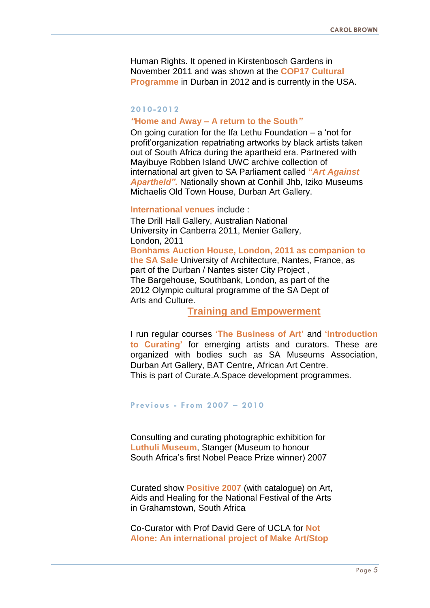Human Rights. It opened in Kirstenbosch Gardens in November 2011 and was shown at the **COP17 Cultural Programme** in Durban in 2012 and is currently in the USA.

#### **2010-2012**

#### *"***Home and Away – A return to the South***"*

On going curation for the Ifa Lethu Foundation – a 'not for profit'organization repatriating artworks by black artists taken out of South Africa during the apartheid era. Partnered with Mayibuye Robben Island UWC archive collection of international art given to SA Parliament called **"***Art Against Apartheid".* Nationally shown at Conhill Jhb, Iziko Museums Michaelis Old Town House, Durban Art Gallery.

#### **International venues** include :

The Drill Hall Gallery, Australian National University in Canberra 2011, Menier Gallery, London, 2011 **Bonhams Auction House, London, 2011 as companion to the SA Sale** University of Architecture, Nantes, France, as part of the Durban / Nantes sister City Project , The Bargehouse, Southbank, London, as part of the 2012 Olympic cultural programme of the SA Dept of Arts and Culture.

## **Training and Empowerment**

I run regular courses **'The Business of Art'** and **'Introduction to Curating'** for emerging artists and curators. These are organized with bodies such as SA Museums Association, Durban Art Gallery, BAT Centre, African Art Centre. This is part of Curate.A.Space development programmes.

#### **Pr evious - From 2007 – 2010**

Consulting and curating photographic exhibition for **Luthuli Museum**, Stanger (Museum to honour South Africa's first Nobel Peace Prize winner) 2007

Curated show **Positive 2007** (with catalogue) on Art, Aids and Healing for the National Festival of the Arts in Grahamstown, South Africa

Co-Curator with Prof David Gere of UCLA for **Not Alone: An international project of Make Art/Stop**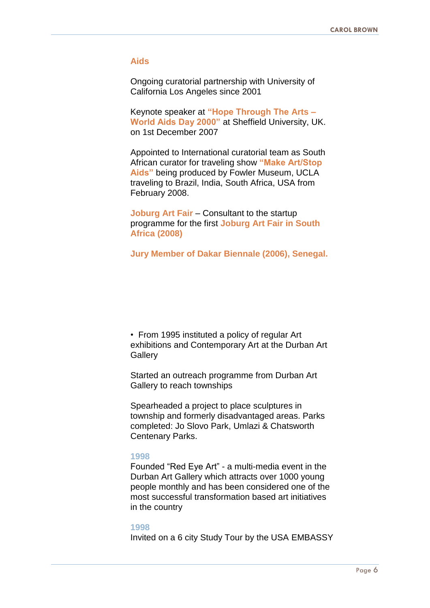#### **Aids**

Ongoing curatorial partnership with University of California Los Angeles since 2001

Keynote speaker at **"Hope Through The Arts – World Aids Day 2000"** at Sheffield University, UK. on 1st December 2007

Appointed to International curatorial team as South African curator for traveling show **"Make Art/Stop Aids"** being produced by Fowler Museum, UCLA traveling to Brazil, India, South Africa, USA from February 2008.

**Joburg Art Fair** – Consultant to the startup programme for the first **Joburg Art Fair in South Africa (2008)**

**Jury Member of Dakar Biennale (2006), Senegal.**

• From 1995 instituted a policy of regular Art exhibitions and Contemporary Art at the Durban Art **Gallery** 

Started an outreach programme from Durban Art Gallery to reach townships

Spearheaded a project to place sculptures in township and formerly disadvantaged areas. Parks completed: Jo Slovo Park, Umlazi & Chatsworth Centenary Parks.

#### **1998**

Founded "Red Eye Art" - a multi-media event in the Durban Art Gallery which attracts over 1000 young people monthly and has been considered one of the most successful transformation based art initiatives in the country

#### **1998**

Invited on a 6 city Study Tour by the USA EMBASSY